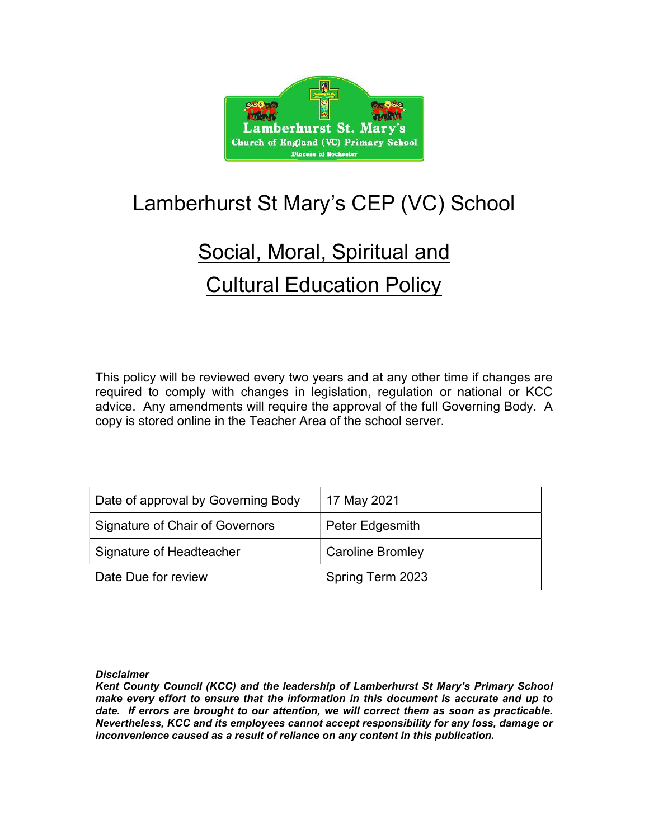

## Lamberhurst St Mary's CEP (VC) School

# Social, Moral, Spiritual and **Cultural Education Policy**

This policy will be reviewed every two years and at any other time if changes are required to comply with changes in legislation, regulation or national or KCC advice. Any amendments will require the approval of the full Governing Body. A copy is stored online in the Teacher Area of the school server.

| Date of approval by Governing Body | 17 May 2021             |
|------------------------------------|-------------------------|
| Signature of Chair of Governors    | Peter Edgesmith         |
| Signature of Headteacher           | <b>Caroline Bromley</b> |
| Date Due for review                | Spring Term 2023        |

**Disclaimer** 

Kent County Council (KCC) and the leadership of Lamberhurst St Mary's Primary School make every effort to ensure that the information in this document is accurate and up to date. If errors are brought to our attention, we will correct them as soon as practicable. Nevertheless, KCC and its employees cannot accept responsibility for any loss, damage or inconvenience caused as a result of reliance on any content in this publication.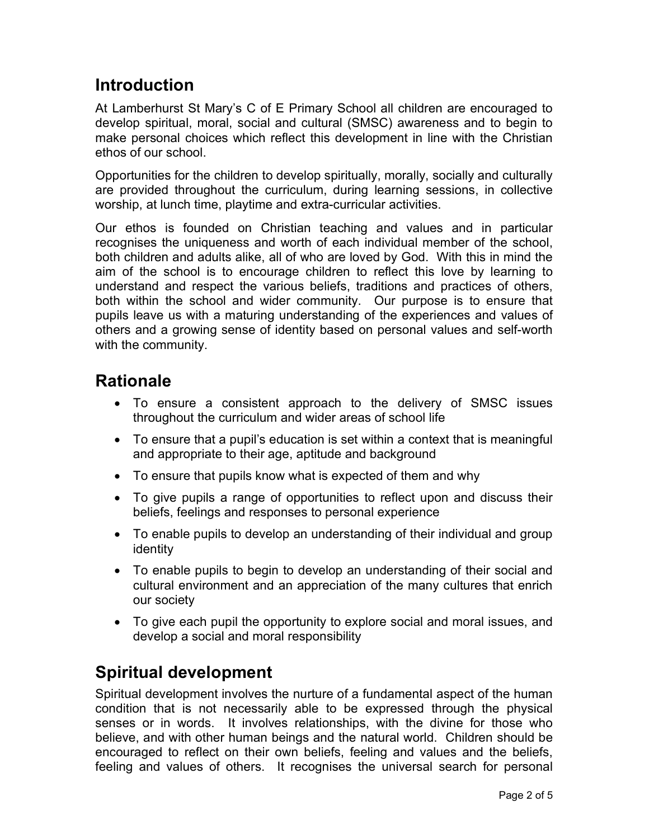## Introduction

At Lamberhurst St Mary's C of E Primary School all children are encouraged to develop spiritual, moral, social and cultural (SMSC) awareness and to begin to make personal choices which reflect this development in line with the Christian ethos of our school.

Opportunities for the children to develop spiritually, morally, socially and culturally are provided throughout the curriculum, during learning sessions, in collective worship, at lunch time, playtime and extra-curricular activities.

Our ethos is founded on Christian teaching and values and in particular recognises the uniqueness and worth of each individual member of the school, both children and adults alike, all of who are loved by God. With this in mind the aim of the school is to encourage children to reflect this love by learning to understand and respect the various beliefs, traditions and practices of others, both within the school and wider community. Our purpose is to ensure that pupils leave us with a maturing understanding of the experiences and values of others and a growing sense of identity based on personal values and self-worth with the community.

### **Rationale**

- To ensure a consistent approach to the delivery of SMSC issues throughout the curriculum and wider areas of school life
- To ensure that a pupil's education is set within a context that is meaningful and appropriate to their age, aptitude and background
- To ensure that pupils know what is expected of them and why
- To give pupils a range of opportunities to reflect upon and discuss their beliefs, feelings and responses to personal experience
- To enable pupils to develop an understanding of their individual and group identity
- To enable pupils to begin to develop an understanding of their social and cultural environment and an appreciation of the many cultures that enrich our society
- To give each pupil the opportunity to explore social and moral issues, and develop a social and moral responsibility

## Spiritual development

Spiritual development involves the nurture of a fundamental aspect of the human condition that is not necessarily able to be expressed through the physical senses or in words. It involves relationships, with the divine for those who believe, and with other human beings and the natural world. Children should be encouraged to reflect on their own beliefs, feeling and values and the beliefs, feeling and values of others. It recognises the universal search for personal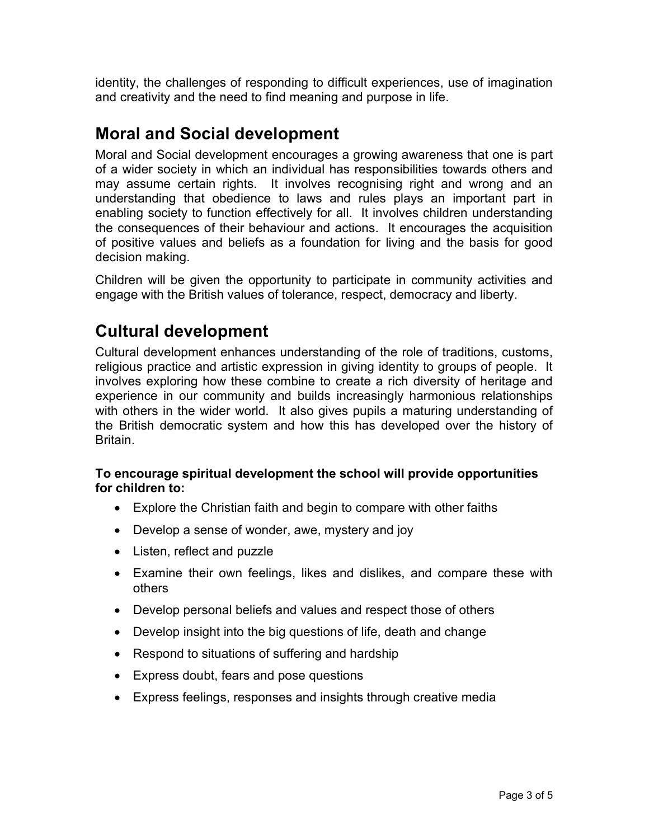identity, the challenges of responding to difficult experiences, use of imagination and creativity and the need to find meaning and purpose in life.

### Moral and Social development

Moral and Social development encourages a growing awareness that one is part of a wider society in which an individual has responsibilities towards others and may assume certain rights. It involves recognising right and wrong and an understanding that obedience to laws and rules plays an important part in enabling society to function effectively for all. It involves children understanding the consequences of their behaviour and actions. It encourages the acquisition of positive values and beliefs as a foundation for living and the basis for good decision making.

Children will be given the opportunity to participate in community activities and engage with the British values of tolerance, respect, democracy and liberty.

### Cultural development

Cultural development enhances understanding of the role of traditions, customs, religious practice and artistic expression in giving identity to groups of people. It involves exploring how these combine to create a rich diversity of heritage and experience in our community and builds increasingly harmonious relationships with others in the wider world. It also gives pupils a maturing understanding of the British democratic system and how this has developed over the history of Britain.

#### To encourage spiritual development the school will provide opportunities for children to:

- Explore the Christian faith and begin to compare with other faiths
- Develop a sense of wonder, awe, mystery and joy
- Listen, reflect and puzzle
- Examine their own feelings, likes and dislikes, and compare these with others
- Develop personal beliefs and values and respect those of others
- Develop insight into the big questions of life, death and change
- Respond to situations of suffering and hardship
- Express doubt, fears and pose questions
- Express feelings, responses and insights through creative media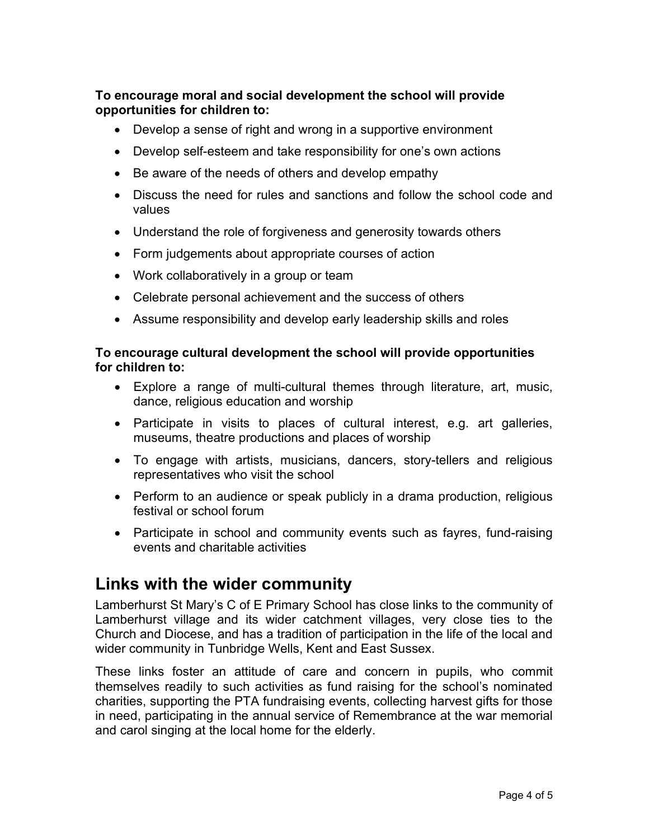#### To encourage moral and social development the school will provide opportunities for children to:

- Develop a sense of right and wrong in a supportive environment
- Develop self-esteem and take responsibility for one's own actions
- Be aware of the needs of others and develop empathy
- Discuss the need for rules and sanctions and follow the school code and values
- Understand the role of forgiveness and generosity towards others
- Form judgements about appropriate courses of action
- Work collaboratively in a group or team
- Celebrate personal achievement and the success of others
- Assume responsibility and develop early leadership skills and roles

#### To encourage cultural development the school will provide opportunities for children to:

- Explore a range of multi-cultural themes through literature, art, music, dance, religious education and worship
- Participate in visits to places of cultural interest, e.g. art galleries, museums, theatre productions and places of worship
- To engage with artists, musicians, dancers, story-tellers and religious representatives who visit the school
- Perform to an audience or speak publicly in a drama production, religious festival or school forum
- Participate in school and community events such as fayres, fund-raising events and charitable activities

#### Links with the wider community

Lamberhurst St Mary's C of E Primary School has close links to the community of Lamberhurst village and its wider catchment villages, very close ties to the Church and Diocese, and has a tradition of participation in the life of the local and wider community in Tunbridge Wells, Kent and East Sussex.

These links foster an attitude of care and concern in pupils, who commit themselves readily to such activities as fund raising for the school's nominated charities, supporting the PTA fundraising events, collecting harvest gifts for those in need, participating in the annual service of Remembrance at the war memorial and carol singing at the local home for the elderly.